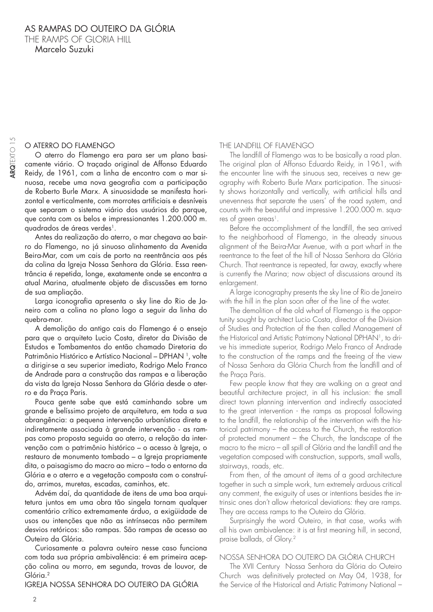# O ATERRO DO FLAMENGO

O aterro do Flamengo era para ser um plano basicamente viário. O traçado original de Affonso Eduardo Reidy, de 1961, com a linha de encontro com o mar sinuosa, recebe uma nova geografia com a participação de Roberto Burle Marx. A sinuosidade se manifesta horizontal e verticalmente, com morrotes artificiais e desníveis que separam o sistema viário dos usuários do parque, que conta com os belos e impressionantes 1.200.000 m. quadrados de áreas verdes<sup>1</sup>.

Antes da realização do aterro, o mar chegava ao bairro do Flamengo, no já sinuoso alinhamento da Avenida Beira-Mar, com um cais de porto na reentrância aos pés da colina da Igreja Nossa Senhora da Glória. Essa reentrância é repetida, longe, exatamente onde se encontra a atual Marina, atualmente objeto de discussões em torno de sua ampliação.

Larga iconografia apresenta o sky line do Rio de Janeiro com a colina no plano logo a seguir da linha do quebra-mar.

A demolição do antigo cais do Flamengo é o ensejo para que o arquiteto Lucio Costa, diretor da Divisão de Estudos e Tombamentos do então chamado Diretoria do Patrimônio Histórico e Artístico Nacional – DPHAN<sup>1</sup>, volte a dirigir-se a seu superior imediato, Rodrigo Melo Franco de Andrade para a construção das rampas e a liberação da vista da Igreja Nossa Senhora da Glória desde o aterro e da Praça Paris.

Pouca gente sabe que está caminhando sobre um grande e belíssimo projeto de arquitetura, em toda a sua abrangência: a pequena intervenção urbanística direta e indiretamente associada à grande intervenção - as rampas como proposta seguida ao aterro, a relação da intervenção com o patrimônio histórico – o acesso à Igreja, o restauro de monumento tombado – a Igreja propriamente dita, o paisagismo do macro ao micro – todo o entorno da Glória e o aterro e a vegetação composta com o construído, arrimos, muretas, escadas, caminhos, etc.

Advém daí, da quantidade de itens de uma boa arquitetura juntos em uma obra tão singela tornam qualquer comentário crítico extremamente árduo, a exigüidade de usos ou intenções que não as intrínsecas não permitem desvios retóricos: são rampas. São rampas de acesso ao Outeiro da Glória.

Curiosamente a palavra outeiro nesse caso funciona com toda sua própria ambivalência: é em primeira acepção colina ou morro, em segunda, trovas de louvor, de Glória.2

IGREJA NOSSA SENHORA DO OUTEIRO DA GLÓRIA

#### THE LANDFILL OF FLAMENGO

The landfill of Flamengo was to be basically a road plan. The original plan of Affonso Eduardo Reidy, in 1961, with the encounter line with the sinuous sea, receives a new geography with Roberto Burle Marx participation. The sinuosity shows horizontally and vertically, with artificial hills and unevenness that separate the users' of the road system, and counts with the beautiful and impressive 1.200.000 m. squares of green areas<sup>1</sup>.

Before the accomplishment of the landfill, the sea arrived to the neighborhood of Flamengo, in the already sinuous alignment of the Beira-Mar Avenue, with a port wharf in the reentrance to the feet of the hill of Nossa Senhora da Glória Church. That reentrance is repeated, far away, exactly where is currently the Marina; now object of discussions around its enlargement.

A large iconography presents the sky line of Rio de Janeiro with the hill in the plan soon after of the line of the water.

The demolition of the old wharf of Flamengo is the opportunity sought by architect Lucio Costa, director of the Division of Studies and Protection of the then called Management of the Historical and Artistic Patrimony National DPHAN<sup>1</sup>, to drive his immediate superior, Rodrigo Melo Franco of Andrade to the construction of the ramps and the freeing of the view of Nossa Senhora da Glória Church from the landfill and of the Praça Paris.

Few people know that they are walking on a great and beautiful architecture project, in all his inclusion: the small direct town planning intervention and indirectly associated to the great intervention - the ramps as proposal following to the landfill, the relationship of the intervention with the historical patrimony – the access to the Church, the restoration of protected monument – the Church, the landscape of the macro to the micro – all spill of Glória and the landfill and the vegetation composed with construction, supports, small walls, stairways, roads, etc.

From then, of the amount of items of a good architecture together in such a simple work, turn extremely arduous critical any comment, the exiguity of uses or intentions besides the intrinsic ones don't allow rhetorical deviations: they are ramps. They are access ramps to the Outeiro da Glória.

Surprisingly the word Outeiro, in that case, works with all his own ambivalence: it is at first meaning hill, in second, praise ballads, of Glory.2

## NOSSA SENHORA DO OUTEIRO DA GLÓRIA CHURCH

The XVII Century Nossa Senhora da Glória do Outeiro Church was definitively protected on May 04, 1938, for the Service of the Historical and Artistic Patrimony National –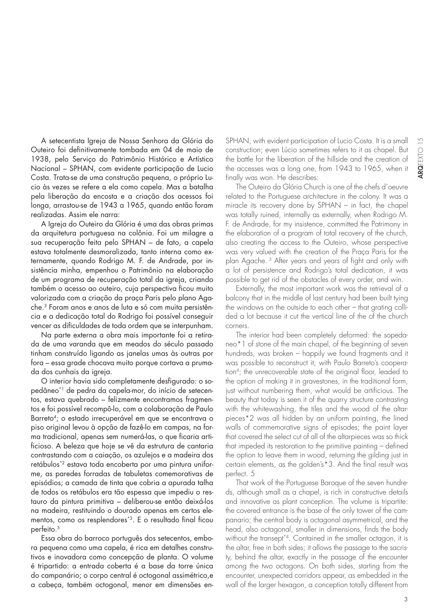A setecentista Igreja de Nossa Senhora da Glória do Outeiro foi definitivamente tombada em 04 de maio de 1938, pelo Serviço do Patrimônio Histórico e Artístico Nacional – SPHAN, com evidente participação de Lucio Costa. Trata-se de uma construção pequena, o próprio Lucio às vezes se refere a ela como capela. Mas a batalha pela liberação da encosta e a criação dos acessos foi longa, arrastou-se de 1943 a 1965, quando então foram realizadas. Assim ele narra:

A Igreja do Outeiro da Glória é uma das obras primas da arquitetura portuguesa na colônia. Foi um milagre a sua recuperação feita pelo SPHAN – de fato, a capela estava totalmente desmoralizada, tanto interna como externamente, quando Rodrigo M. F. de Andrade, por insistência minha, empenhou o Patrimônio na elaboração de um programa de recuperação total da igreja, criando também o acesso ao outeiro, cuja perspectiva ficou muito valorizada com a criação da praça Paris pelo plano Agache.3 Foram anos e anos de luta e só com muita persistência e a dedicação total do Rodrigo foi possível conseguir vencer as dificuldades de toda ordem que se interpunham.

Na parte externa a obra mais importante foi a retirada de uma varanda que em meados do século passado tinham construído ligando as janelas umas às outras por fora – essa grade chocava muito porque cortava a prumada dos cunhais da igreja.

O interior havia sido completamente desfigurado: o sopedâneo\*1 de pedra da capela-mor, do início de setecentos, estava quebrado – felizmente encontramos fragmentos e foi possível recompô-lo, com a colaboração de Paulo Barreto<sup>4</sup>; o estado irrecuperável em que se encontrava o piso original levou à opção de fazê-lo em campas, na forma tradicional, apenas sem numerá-las, o que ficaria artificioso. A beleza que hoje se vê da estrutura de cantaria contrastando com a caiação, os azulejos e a madeira dos retábulos\*2 estava toda encoberta por uma pintura uniforme, as paredes forradas de tabuletas comemorativas de episódios; a camada de tinta que cobria a apurada talha de todos os retábulos era tão espessa que impediu o restauro da pintura primitiva – deliberou-se então deixá-los na madeira, restituindo o dourado apenas em certos elementos, como os resplendores\*3. E o resultado final ficou perfeito.<sup>5</sup>

Essa obra do barroco português dos setecentos, embora pequena como uma capela, é rica em detalhes construtivos e inovadora como concepção de planta. O volume é tripartido: a entrada coberta é a base da torre única do campanário; o corpo central é octogonal assimétrico,e a cabeça, também octogonal, menor em dimensões enSPHAN, with evident participation of Lucio Costa. It is a small construction; even Lúcio sometimes refers to it as chapel. But the battle for the liberation of the hillside and the creation of the accesses was a long one, from 1943 to 1965, when it finally was won. He describes:

The Outeiro da Glória Church is one of the chefs d´oeuvre related to the Portuguese architecture in the colony. It was a miracle its recovery done by SPHAN – in fact, the chapel was totally ruined, internally as externally, when Rodrigo M. F. de Andrade, for my insistence, committed the Patrimony in the elaboration of a program of total recovery of the church, also creating the access to the Outeiro, whose perspective was very valued with the creation of the Praça Paris for the plan Agache.<sup>3</sup> After years and years of fight and only with a lot of persistence and Rodrigo's total dedication, it was possible to get rid of the obstacles of every order, and win.

Externally, the most important work was the retrieval of a balcony that in the middle of last century had been built tying the windows on the outside to each other – that grating collided a lot because it cut the vertical line of the of the church corners.

The interior had been completely deformed: the sopedaneo\*1 of stone of the main chapel, of the beginning of seven hundreds, was broken – happily we found fragments and it was possible to reconstruct it, with Paulo Barreto's cooperation<sup>4</sup>; the unrecoverable state of the original floor, leaded to the option of making it in gravestones, in the traditional form, just without numbering them, what would be artificious. The beauty that today is seen it of the quarry structure contrasting with the whitewashing, the tiles and the wood of the altarpieces\*2 was all hidden by an uniform painting, the lined walls of commemorative signs of episodes; the paint layer that covered the select cut of all of the altarpieces was so thick that impeded its restoration to the primitive painting  $-$  defined the option to leave them in wood, returning the gilding just in certain elements, as the golden's\*3. And the final result was perfect. 5

That work of the Portuguese Baroque of the seven hundreds, although small as a chapel, is rich in constructive details and innovative as plant conception. The volume is tripartite: the covered entrance is the base of the only tower of the campanario; the central body is octagonal asymmetrical, and the head, also octagonal, smaller in dimensions, finds the body without the transept<sup>\*4</sup>. Contained in the smaller octagon, it is the altar, free in both sides; it allows the passage to the sacristy, behind the altar, exactly in the passage of the encounter among the two octagons. On both sides, starting from the encounter, unexpected corridors appear, as embedded in the wall of the larger hexagon, a conception totally different from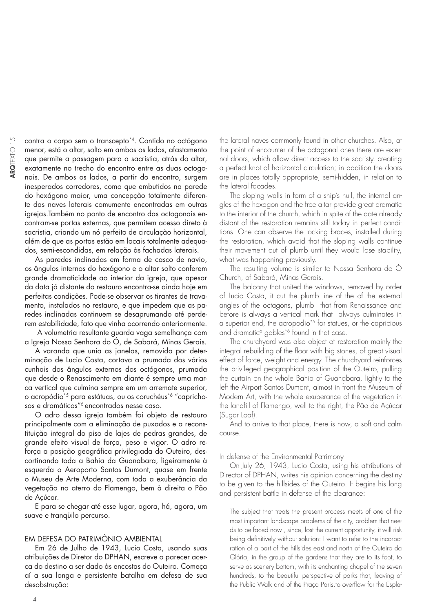contra o corpo sem o transcepto\*4. Contido no octógono menor, está o altar, solto em ambos os lados, afastamento que permite a passagem para a sacristia, atrás do altar, exatamente no trecho do encontro entre as duas octogonais. De ambos os lados, a partir do encontro, surgem inesperados corredores, como que embutidos na parede do hexágono maior, uma concepção totalmente diferente das naves laterais comumente encontradas em outras igrejas.Também no ponto de encontro das octogonais encontram-se portas externas, que permitem acesso direto à sacristia, criando um nó perfeito de circulação horizontal, além de que as portas estão em locais totalmente adequados, semi-escondidas, em relação às fachadas laterais.

As paredes inclinadas em forma de casco de navio, os ângulos internos do hexágono e o altar solto conferem grande dramaticidade ao interior da igreja, que apesar da data já distante do restauro encontra-se ainda hoje em perfeitas condições. Pode-se observar os tirantes de travamento, instalados no restauro, e que impedem que as paredes inclinadas continuem se desaprumando até perderem estabilidade, fato que vinha ocorrendo anteriormente.

 A volumetria resultante guarda vaga semelhança com a Igreja Nossa Senhora do Ó, de Sabará, Minas Gerais.

A varanda que unia as janelas, removida por determinação de Lucio Costa, cortava a prumada dos vários cunhais dos ângulos externos dos octógonos, prumada que desde o Renascimento em diante é sempre uma marca vertical que culmina sempre em um arremate superior, o acropódio\*5 para estátuas, ou os coruchéus\*6 "caprichosos e dramáticos"<sup>6</sup> encontrados nesse caso.

O adro dessa igreja também foi objeto de restauro principalmente com a eliminação de puxados e a reconstituição integral do piso de lajes de pedras grandes, de grande efeito visual de força, peso e vigor. O adro reforça a posição geográfica privilegiada do Outeiro, descortinando toda a Bahia da Guanabara, ligeiramente à esquerda o Aeroporto Santos Dumont, quase em frente o Museu de Arte Moderna, com toda a exuberância da vegetação no aterro do Flamengo, bem à direita o Pão de Açúcar.

E para se chegar até esse lugar, agora, há, agora, um suave e tranqüilo percurso.

#### EM DEFESA DO PATRIMÔNIO AMBIENTAL

Em 26 de Julho de 1943, Lucio Costa, usando suas atribuições de Diretor do DPHAN, escreve o parecer acerca do destino a ser dado às encostas do Outeiro. Começa aí a sua longa e persistente batalha em defesa de sua desobstrução:

the lateral naves commonly found in other churches. Also, at the point of encounter of the octagonal ones there are external doors, which allow direct access to the sacristy, creating a perfect knot of horizontal circulation; in addition the doors are in places totally appropriate, semi-hidden, in relation to the lateral facades.

The sloping walls in form of a ship's hull, the internal angles of the hexagon and the free altar provide great dramatic to the interior of the church, which in spite of the date already distant of the restoration remains still today in perfect conditions. One can observe the locking braces, installed during the restoration, which avoid that the sloping walls continue their movement out of plumb until they would lose stability, what was happening previously.

The resulting volume is similar to Nossa Senhora do Ó Church, of Sabará, Minas Gerais.

The balcony that united the windows, removed by order of Lucio Costa, it cut the plumb line of the of the external angles of the octagons, plumb that from Renaissance and before is always a vertical mark that always culminates in a superior end, the acropodio<sup>\*5</sup> for statues, or the capricious and dramatic<sup>6</sup> gables<sup>\*6</sup> found in that case.

The churchyard was also object of restoration mainly the integral rebuilding of the floor with big stones, of great visual effect of force, weight and energy. The churchyard reinforces the privileged geographical position of the Outeiro, pulling the curtain on the whole Bahia of Guanabara, lightly to the left the Airport Santos Dumont, almost in front the Museum of Modern Art, with the whole exuberance of the vegetation in the landfill of Flamengo, well to the right, the Pão de Açúcar (Sugar Loaf).

And to arrive to that place, there is now, a soft and calm course.

#### In defense of the Environmental Patrimony

On July 26, 1943, Lucio Costa, using his attributions of Director of DPHAN, writes his opinion concerning the destiny to be given to the hillsides of the Outeiro. It begins his long and persistent battle in defense of the clearance:

The subject that treats the present process meets of one of the most important landscape problems of the city, problem that needs to be faced now , since, lost the current opportunity, it will risk being definitively without solution: I want to refer to the incorporation of a part of the hillsides east and north of the Outeiro da Glória, in the group of the gardens that they are to its foot, to serve as scenery bottom, with its enchanting chapel of the seven hundreds, to the beautiful perspective of parks that, leaving of the Public Walk and of the Praça Paris, to overflow for the Espla-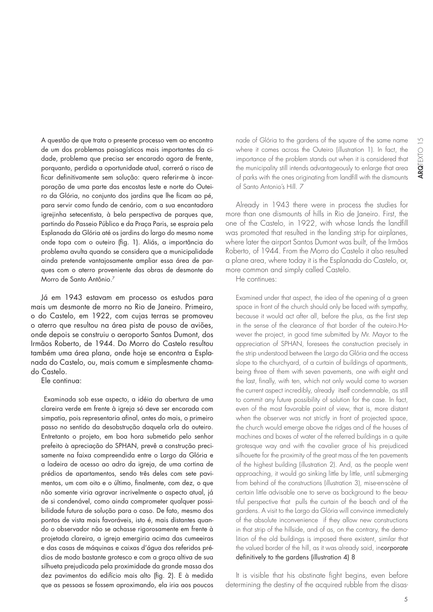A questão de que trata o presente processo vem ao encontro de um dos problemas paisagísticos mais importantes da cidade, problema que precisa ser encarado agora de frente, porquanto, perdida a oportunidade atual, correrá o risco de ficar definitivamente sem solução: quero referir-me à incorporação de uma parte das encostas leste e norte do Outeiro da Glória, no conjunto dos jardins que lhe ficam ao pé, para servir como fundo de cenário, com a sua encantadora igrejinha setecentista, à bela perspectiva de parques que, partindo do Passeio Público e da Praça Paris, se espraia pela Esplanada da Glória até os jardins do largo do mesmo nome onde topa com o outeiro (fig. 1). Aliás, a importância do problema avulta quando se considera que a municipalidade ainda pretende vantajosamente ampliar essa área de parques com o aterro proveniente das obras de desmonte do Morro de Santo Antônio.7

Já em 1943 estavam em processo os estudos para mais um desmonte de morro no Rio de Janeiro. Primeiro, o do Castelo, em 1922, com cujas terras se promoveu o aterro que resultou na área pista de pouso de aviões, onde depois se construiu o aeroporto Santos Dumont, dos Irmãos Roberto, de 1944. Do Morro do Castelo resultou também uma área plana, onde hoje se encontra a Esplanada do Castelo, ou, mais comum e simplesmente chamado Castelo.

Ele continua:

Examinada sob esse aspecto, a idéia da abertura de uma clareira verde em frente à igreja só deve ser encarada com simpatia, pois representaria afinal, antes do mais, o primeiro passo no sentido da desobstrução daquela orla do outeiro. Entretanto o projeto, em boa hora submetido pelo senhor prefeito à apreciação do SPHAN, prevê a construção precisamente na faixa compreendida entre o Largo da Glória e a ladeira de acesso ao adro da igreja, de uma cortina de prédios de apartamentos, sendo três deles com sete pavimentos, um com oito e o último, finalmente, com dez, o que não somente viria agravar incrivelmente o aspecto atual, já de si condenável, como ainda comprometer qualquer possibilidade futura de solução para o caso. De fato, mesmo dos pontos de vista mais favoráveis, isto é, mais distantes quando o observador não se achasse rigorosamente em frente à projetada clareira, a igreja emergiria acima das cumeeiras e das casas de máquinas e caixas d'água dos referidos prédios de modo bastante grotesco e com a graça altiva de sua silhueta prejudicada pela proximidade da grande massa dos dez pavimentos do edifício mais alto (fig. 2). E à medida que as pessoas se fossem aproximando, ela iria aos poucos

nade of Glória to the gardens of the square of the same name where it comes across the Outeiro (illustration 1). In fact, the importance of the problem stands out when it is considered that the municipality still intends advantageously to enlarge that area of parks with the ones originating from landfill with the dismounts of Santo Antonio's Hill. 7

Already in 1943 there were in process the studies for more than one dismounts of hills in Rio de Janeiro. First, the one of the Castelo, in 1922, with whose lands the landfill was promoted that resulted in the landing strip for airplanes, where later the airport Santos Dumont was built, of the Irmãos Roberto, of 1944. From the Morro do Castelo it also resulted a plane area, where today it is the Esplanada do Castelo, or, more common and simply called Castelo.

He continues:

Examined under that aspect, the idea of the opening of a green space in front of the church should only be faced with sympathy, because it would act after all, before the plus, as the first step in the sense of the clearance of that border of the outeiro.However the project, in good time submitted by Mr. Mayor to the appreciation of SPHAN, foresees the construction precisely in the strip understood between the Largo da Glória and the access slope to the churchyard, of a curtain of buildings of apartments, being three of them with seven pavements, one with eight and the last, finally, with ten, which not only would come to worsen the current aspect incredibly, already itself condemnable, as still to commit any future possibility of solution for the case. In fact, even of the most favorable point of view, that is, more distant when the observer was not strictly in front of projected space, the church would emerge above the ridges and of the houses of machines and boxes of water of the referred buildings in a quite grotesque way and with the cavalier grace of his prejudiced silhouette for the proximity of the great mass of the ten pavements of the highest building (illustration 2). And, as the people went approaching, it would go sinking little by little, until submerging from behind of the constructions (illustration 3), mise-en-scène of certain little advisable one to serve as background to the beautiful perspective that pulls the curtain of the beach and of the gardens. A visit to the Largo da Glória will convince immediately of the absolute inconvenience if they allow new constructions in that strip of the hillside, and of as, on the contrary, the demolition of the old buildings is imposed there existent, similar that the valued border of the hill, as it was already said, incorporate definitively to the gardens (illustration 4) 8

It is visible that his obstinate fight begins, even before determining the destiny of the acquired rubble from the disas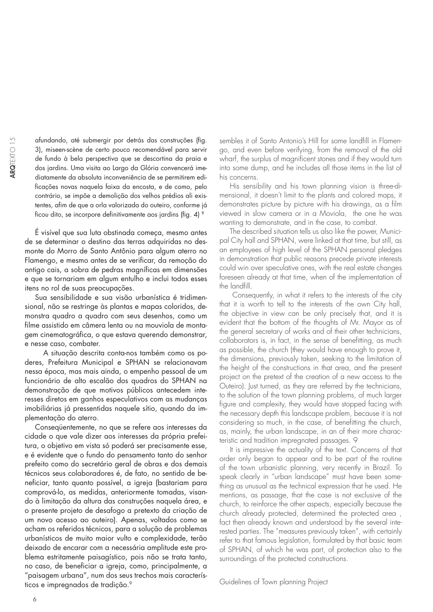afundando, até submergir por detrás das construções (fig. 3), miseen-scène de certo pouco recomendável para servir de fundo à bela perspectiva que se descortina da praia e dos jardins. Uma visita ao Largo da Glória convencerá imediatamente da absoluta inconveniência de se permitirem edifi cações novas naquela faixa da encosta, e de como, pelo contrário, se impõe a demolição dos velhos prédios ali existentes, afim de que a orla valorizada do outeiro, conforme já ficou dito, se incorpore definitivamente aos jardins (fig. 4) 8

É visível que sua luta obstinada começa, mesmo antes de se determinar o destino das terras adquiridas no desmonte do Morro de Santo Antônio para algum aterro no Flamengo, e mesmo antes de se verificar, da remoção do antigo cais, a sobra de pedras magníficas em dimensões e que se tornariam em algum entulho e inclui todos esses itens no rol de suas preocupações.

Sua sensibilidade e sua visão urbanística é tridimensional, não se restringe às plantas e mapas coloridos, demonstra quadro a quadro com seus desenhos, como um filme assistido em câmera lenta ou na mouviola de montagem cinematográfica, o que estava querendo demonstrar, e nesse caso, combater.

 A situação descrita conta-nos também como os poderes, Prefeitura Municipal e SPHAN se relacionavam nessa época, mas mais ainda, o empenho pessoal de um funcionário de alto escalão dos quadros do SPHAN na demonstração de que motivos públicos antecedem interesses diretos em ganhos especulativos com as mudanças imobiliárias já pressentidas naquele sítio, quando da implementação do aterro.

Conseqüentemente, no que se refere aos interesses da cidade o que vale dizer aos interesses da própria prefeitura, o objetivo em vista só poderá ser precisamente esse, e é evidente que o fundo do pensamento tanto do senhor prefeito como do secretário geral de obras e dos demais técnicos seus colaboradores é, de fato, no sentido de beneficiar, tanto quanto possível, a igreja (bastariam para comprová-lo, as medidas, anteriormente tomadas, visando à limitação da altura das construções naquela área, e o presente projeto de desafogo a pretexto da criação de um novo acesso ao outeiro). Apenas, voltados como se acham os referidos técnicos, para a solução de problemas urbanísticos de muito maior vulto e complexidade, terão deixado de encarar com a necessária amplitude este problema estritamente paisagístico, pois não se trata tanto, no caso, de beneficiar a igreja, como, principalmente, a "paisagem urbana", num dos seus trechos mais característicos e impregnados de tradição.<sup>9</sup>

sembles it of Santo Antonio's Hill for some landfill in Flamengo, and even before verifying, from the removal of the old wharf, the surplus of magnificent stones and if they would turn into some dump, and he includes all those items in the list of his concerns.

His sensibility and his town planning vision is three-dimensional, it doesn't limit to the plants and colored maps, it demonstrates picture by picture with his drawings, as a film viewed in slow camera or in a Moviola, the one he was wanting to demonstrate, and in the case, to combat.

The described situation tells us also like the power, Municipal City hall and SPHAN, were linked at that time, but still, as an employees of high level of the SPHAN personal pledges in demonstration that public reasons precede private interests could win over speculative ones, with the real estate changes foreseen already at that time, when of the implementation of the landfill.

 Consequently, in what it refers to the interests of the city that it is worth to tell to the interests of the own City hall, the objective in view can be only precisely that, and it is evident that the bottom of the thoughts of Mr. Mayor as of the general secretary of works and of their other technicians, collaborators is, in fact, in the sense of benefitting, as much as possible, the church (they would have enough to prove it, the dimensions, previously taken, seeking to the limitation of the height of the constructions in that area, and the present project on the pretext of the creation of a new access to the Outeiro). Just turned, as they are referred by the technicians, to the solution of the town planning problems, of much larger figure and complexity, they would have stopped facing with the necessary depth this landscape problem, because it is not considering so much, in the case, of benefitting the church, as, mainly, the urban landscape, in an of their more characteristic and tradition impregnated passages. 9

It is impressive the actuality of the text. Concerns of that order only began to appear and to be part of the routine of the town urbanistic planning, very recently in Brazil. To speak clearly in "urban landscape" must have been something as unusual as the technical expression that he used. He mentions, as passage, that the case is not exclusive of the church, to reinforce the other aspects, especially because the church already protected, determined the protected area , fact then already known and understood by the several interested parties. The "measures previously taken", with certainly refer to that famous legislation, formulated by that basic team of SPHAN, of which he was part, of protection also to the surroundings of the protected constructions.

Guidelines of Town planning Project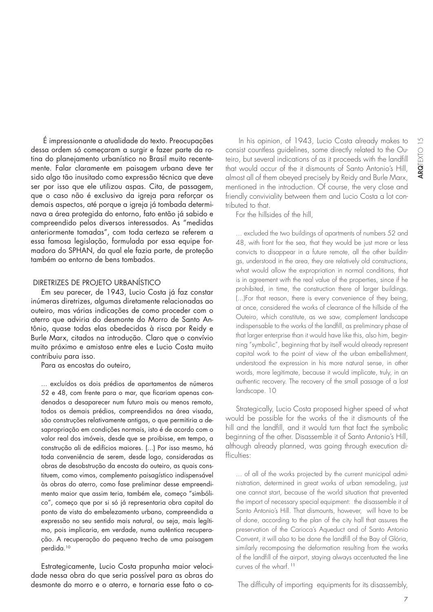É impressionante a atualidade do texto. Preocupações dessa ordem só começaram a surgir e fazer parte da rotina do planejamento urbanístico no Brasil muito recentemente. Falar claramente em paisagem urbana deve ter sido algo tão inusitado como expressão técnica que deve ser por isso que ele utilizou aspas. Cita, de passagem, que o caso não é exclusivo da igreja para reforçar os demais aspectos, até porque a igreja já tombada determinava a área protegida do entorno, fato então já sabido e compreendido pelos diversos interessados. As "medidas anteriormente tomadas", com toda certeza se referem a essa famosa legislação, formulada por essa equipe formadora do SPHAN, da qual ele fazia parte, de proteção também ao entorno de bens tombados.

### DIRETRIZES DE PROJETO URBANÍSTICO

Em seu parecer, de 1943, Lucio Costa já faz constar inúmeras diretrizes, algumas diretamente relacionadas ao outeiro, mas várias indicações de como proceder com o aterro que adviria do desmonte do Morro de Santo Antônio, quase todas elas obedecidas à risca por Reidy e Burle Marx, citados na introdução. Claro que o convívio muito próximo e amistoso entre eles e Lucio Costa muito contribuiu para isso.

Para as encostas do outeiro,

... excluídos os dois prédios de apartamentos de números 52 e 48, com frente para o mar, que ficariam apenas condenados a desaparecer num futuro mais ou menos remoto, todos os demais prédios, compreendidos na área visada, são construções relativamente antigas, o que permitiria a desapropriação em condições normais, isto é de acordo com o valor real dos imóveis, desde que se proibisse, em tempo, a construção ali de edifícios maiores. (...) Por isso mesmo, há toda conveniência de serem, desde logo, consideradas as obras de desobstrução da encosta do outeiro, as quais constituem, como vimos, complemento paisagístico indispensável às obras do aterro, como fase preliminar desse empreendimento maior que assim teria, também ele, começo "simbólico", começo que por si só já representaria obra capital do ponto de vista do embelezamento urbano, compreendida a expressão no seu sentido mais natural, ou seja, mais legítimo, pois implicaria, em verdade, numa autêntica recuperação. A recuperação do pequeno trecho de uma paisagem perdida.10

Estrategicamente, Lucio Costa propunha maior velocidade nessa obra do que seria possível para as obras do desmonte do morro e o aterro, e tornaria esse fato o co-

 In his opinion, of 1943, Lucio Costa already makes to consist countless guidelines, some directly related to the Outeiro, but several indications of as it proceeds with the landfill that would occur of the it dismounts of Santo Antonio's Hill, almost all of them obeyed precisely by Reidy and Burle Marx, mentioned in the introduction. Of course, the very close and friendly conviviality between them and Lucio Costa a lot contributed to that.

For the hillsides of the hill,

... excluded the two buildings of apartments of numbers 52 and 48, with front for the sea, that they would be just more or less convicts to disappear in a future remote, all the other buildings, understood in the area, they are relatively old constructions, what would allow the expropriation in normal conditions, that is in agreement with the real value of the properties, since if he prohibited, in time, the construction there of larger buildings. (...)For that reason, there is every convenience of they being, at once, considered the works of clearance of the hillside of the Outeiro, which constitute, as we saw, complement landscape indispensable to the works of the landfill, as preliminary phase of that larger enterprise than it would have like this, also him, beginning "symbolic", beginning that by itself would already represent capital work to the point of view of the urban embellishment, understood the expression in his more natural sense, in other words, more legitimate, because it would implicate, truly, in an authentic recovery. The recovery of the small passage of a lost landscape. 10

Strategically, Lucio Costa proposed higher speed of what would be possible for the works of the it dismounts of the hill and the landfill, and it would turn that fact the symbolic beginning of the other. Disassemble it of Santo Antonio's Hill, although already planned, was going through execution difficulties:

... of all of the works projected by the current municipal administration, determined in great works of urban remodeling, just one cannot start, because of the world situation that prevented the import of necessary special equipment: the disassemble it of Santo Antonio's Hill. That dismounts, however, will have to be of done, according to the plan of the city hall that assures the preservation of the Carioca's Aqueduct and of Santo Antonio Convent, it will also to be done the landfill of the Bay of Glória, similarly recomposing the deformation resulting from the works of the landfill of the airport, staying always accentuated the line curves of the wharf.<sup>11</sup>

The difficulty of importing equipments for its disassembly,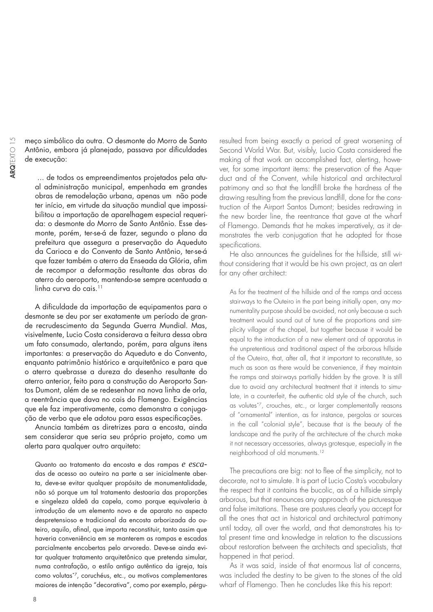meço simbólico da outra. O desmonte do Morro de Santo Antônio, embora já planejado, passava por dificuldades de execução:

... de todos os empreendimentos projetados pela atual administração municipal, empenhada em grandes obras de remodelação urbana, apenas um não pode ter início, em virtude da situação mundial que impossibilitou a importação de aparelhagem especial requerida: o desmonte do Morro de Santo Antônio. Esse desmonte, porém, ter-se-á de fazer, segundo o plano da prefeitura que assegura a preservação do Aqueduto da Carioca e do Convento de Santo Antônio, ter-se-á que fazer também o aterro da Enseada da Glória, afim de recompor a deformação resultante das obras do aterro do aeroporto, mantendo-se sempre acentuada a  $\lim_{\alpha \to 0}$  curva do cais<sup>11</sup>

A dificuldade da importação de equipamentos para o desmonte se deu por ser exatamente um período de grande recrudescimento da Segunda Guerra Mundial. Mas, visivelmente, Lucio Costa considerava a feitura dessa obra um fato consumado, alertando, porém, para alguns itens importantes: a preservação do Aqueduto e do Convento, enquanto patrimônio histórico e arquitetônico e para que o aterro quebrasse a dureza do desenho resultante do aterro anterior, feito para a construção do Aeroporto Santos Dumont, além de se redesenhar na nova linha de orla, a reentrância que dava no cais do Flamengo. Exigências que ele faz imperativamente, como demonstra a conjugação de verbo que ele adotou para essas especificações.

Anuncia também as diretrizes para a encosta, ainda sem considerar que seria seu próprio projeto, como um alerta para qualquer outro arquiteto:

Quanto ao tratamento da encosta e das rampas *e esca*das de acesso ao outeiro na parte a ser inicialmente aberta, deve-se evitar qualquer propósito de monumentalidade, não só porque um tal tratamento destoaria das proporções e singeleza aldeã da capela, como porque equivaleria à introdução de um elemento novo e de aparato no aspecto despretensioso e tradicional da encosta arborizada do outeiro, aquilo, afinal, que importa reconstituir, tanto assim que haveria conveniência em se manterem as rampas e escadas parcialmente encobertas pelo arvoredo. Deve-se ainda evitar qualquer tratamento arquitetônico que pretenda simular, numa contrafação, o estilo antigo autêntico da igreja, tais como volutas\*7, coruchéus, etc., ou motivos complementares maiores de intenção "decorativa", como por exemplo, pérgu-

resulted from being exactly a period of great worsening of Second World War. But, visibly, Lucio Costa considered the making of that work an accomplished fact, alerting, however, for some important items: the preservation of the Aqueduct and of the Convent, while historical and architectural patrimony and so that the landfill broke the hardness of the drawing resulting from the previous landfill, done for the construction of the Airport Santos Dumont; besides redrawing in the new border line, the reentrance that gave at the wharf of Flamengo. Demands that he makes imperatively, as it demonstrates the verb conjugation that he adopted for those specifications.

He also announces the guidelines for the hillside, still without considering that it would be his own project, as an alert for any other architect:

As for the treatment of the hillside and of the ramps and access stairways to the Outeiro in the part being initially open, any monumentality purpose should be avoided, not only because a such treatment would sound out of tune of the proportions and simplicity villager of the chapel, but together because it would be equal to the introduction of a new element and of apparatus in the unpretentious and traditional aspect of the arborous hillside of the Outeiro, that, after all, that it important to reconstitute, so much as soon as there would be convenience, if they maintain the ramps and stairways partially hidden by the grove. It is still due to avoid any architectural treatment that it intends to simulate, in a counterfeit, the authentic old style of the church, such as volutes\*7, crouches, etc., or larger complementally reasons of "ornamental" intention, as for instance, pergolas or sources in the call "colonial style", because that is the beauty of the landscape and the purity of the architecture of the church make it not necessary accessories, always grotesque, especially in the neighborhood of old monuments.12

The precautions are big: not to flee of the simplicity, not to decorate, not to simulate. It is part of Lucio Costa's vocabulary the respect that it contains the bucolic, as of a hillside simply arborous, but that renounces any approach of the picturesque and false imitations. These are postures clearly you accept for all the ones that act in historical and architectural patrimony until today, all over the world, and that demonstrates his total present time and knowledge in relation to the discussions about restoration between the architects and specialists, that happened in that period.

As it was said, inside of that enormous list of concerns, was included the destiny to be given to the stones of the old wharf of Flamengo. Then he concludes like this his report: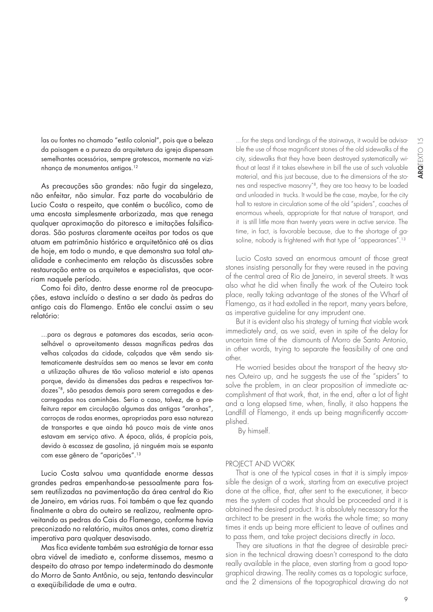las ou fontes no chamado "estilo colonial", pois que a beleza da paisagem e a pureza da arquitetura da igreja dispensam semelhantes acessórios, sempre grotescos, mormente na vizinhança de monumentos antigos.12

As precauções são grandes: não fugir da singeleza, não enfeitar, não simular. Faz parte do vocabulário de Lucio Costa o respeito, que contém o bucólico, como de uma encosta simplesmente arborizada, mas que renega qualquer aproximação do pitoresco e imitações falsificadoras. São posturas claramente aceitas por todos os que atuam em patrimônio histórico e arquitetônico até os dias de hoje, em todo o mundo, e que demonstra sua total atualidade e conhecimento em relação às discussões sobre restauração entre os arquitetos e especialistas, que ocorriam naquele período.

Como foi dito, dentro desse enorme rol de preocupações, estava incluído o destino a ser dado às pedras do antigo cais do Flamengo. Então ele conclui assim o seu relatório:

...para os degraus e patamares das escadas, seria aconselhável o aproveitamento dessas magníficas pedras das velhas calçadas da cidade, calçadas que vêm sendo sistematicamente destruídas sem ao menos se levar em conta a utilização alhures de tão valioso material e isto apenas porque, devido às dimensões das pedras e respectivos tardozes\*8, são pesadas demais para serem carregadas e descarregadas nos caminhões. Seria o caso, talvez, de a prefeitura repor em circulação algumas das antigas "aranhas", carroças de rodas enormes, apropriadas para essa natureza de transportes e que ainda há pouco mais de vinte anos estavam em serviço ativo. A época, aliás, é propícia pois, devido à escassez de gasolina, já ninguém mais se espanta com esse gênero de "aparições".13

Lucio Costa salvou uma quantidade enorme dessas grandes pedras empenhando-se pessoalmente para fossem reutilizadas na pavimentação da área central do Rio de Janeiro, em várias ruas. Foi também o que fez quando finalmente a obra do outeiro se realizou, realmente aproveitando as pedras do Cais do Flamengo, conforme havia preconizado no relatório, muitos anos antes, como diretriz imperativa para qualquer desavisado.

Mas fica evidente também sua estratégia de tornar essa obra viável de imediato e, conforme dissemos, mesmo a despeito do atraso por tempo indeterminado do desmonte do Morro de Santo Antônio, ou seja, tentando desvincular a exeqüibilidade de uma e outra.

...for the steps and landings of the stairways, it would be advisable the use of those magnificent stones of the old sidewalks of the city, sidewalks that they have been destroyed systematically without at least if it takes elsewhere in bill the use of such valuable material, and this just because, due to the dimensions of the stones and respective masonry\*8, they are too heavy to be loaded and unloaded in trucks. It would be the case, maybe, for the city hall to restore in circulation some of the old "spiders", coaches of enormous wheels, appropriate for that nature of transport, and it is still little more than twenty years were in active service. The time, in fact, is favorable because, due to the shortage of gasoline, nobody is frightened with that type of "appearances".13

Lucio Costa saved an enormous amount of those great stones insisting personally for they were reused in the paving of the central area of Rio de Janeiro, in several streets. It was also what he did when finally the work of the Outeiro took place, really taking advantage of the stones of the Wharf of Flamengo, as it had extolled in the report, many years before, as imperative guideline for any imprudent one.

But it is evident also his strategy of turning that viable work immediately and, as we said, even in spite of the delay for uncertain time of the dismounts of Morro de Santo Antonio, in other words, trying to separate the feasibility of one and other.

He worried besides about the transport of the heavy stones Outeiro up, and he suggests the use of the "spiders" to solve the problem, in an clear proposition of immediate accomplishment of that work, that, in the end, after a lot of fight and a long elapsed time, when, finally, it also happens the Landfill of Flamengo, it ends up being magnificently accomplished.

By himself.

#### PROJECT AND WORK

That is one of the typical cases in that it is simply impossible the design of a work, starting from an executive project done at the office, that, after sent to the executioner, it becomes the system of codes that should be proceeded and it is obtained the desired product. It is absolutely necessary for the architect to be present in the works the whole time; so many times it ends up being more efficient to leave of outlines and to pass them, and take project decisions directly in loco.

They are situations in that the degree of desirable precision in the technical drawing doesn't correspond to the data really available in the place, even starting from a good topographical drawing. The reality comes as a topologic surface, and the 2 dimensions of the topographical drawing do not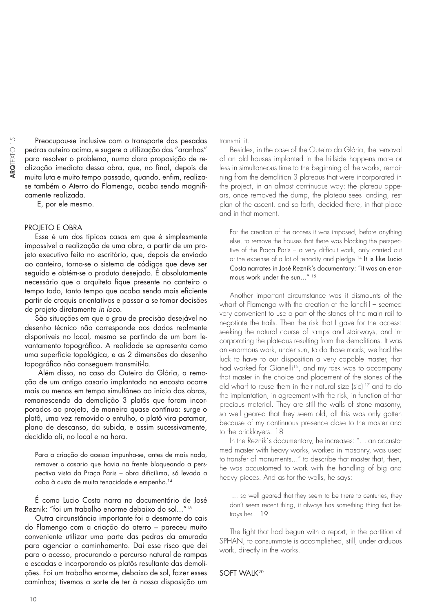Preocupou-se inclusive com o transporte das pesadas pedras outeiro acima, e sugere a utilização das "aranhas" para resolver o problema, numa clara proposição de realização imediata dessa obra, que, no final, depois de muita luta e muito tempo passado, quando, enfim, realizase também o Aterro do Flamengo, acaba sendo magnificamente realizada.

E, por ele mesmo.

#### PROJETO E OBRA

Esse é um dos típicos casos em que é simplesmente impossível a realização de uma obra, a partir de um projeto executivo feito no escritório, que, depois de enviado ao canteiro, torna-se o sistema de códigos que deve ser seguido e obtém-se o produto desejado. É absolutamente necessário que o arquiteto fique presente no canteiro o tempo todo, tanto tempo que acaba sendo mais eficiente partir de croquis orientativos e passar a se tomar decisões de projeto diretamente in loco.

São situações em que o grau de precisão desejável no desenho técnico não corresponde aos dados realmente disponíveis no local, mesmo se partindo de um bom levantamento topográfico. A realidade se apresenta como uma superfície topológica, e as 2 dimensões do desenho topográfico não conseguem transmiti-la.

 Além disso, no caso do Outeiro da Glória, a remoção de um antigo casario implantado na encosta ocorre mais ou menos em tempo simultâneo ao início das obras, remanescendo da demolição 3 platôs que foram incorporados ao projeto, de maneira quase contínua: surge o platô, uma vez removido o entulho, o platô vira patamar, plano de descanso, da subida, e assim sucessivamente, decidido ali, no local e na hora.

Para a criação do acesso impunha-se, antes de mais nada, remover o casario que havia na frente bloqueando a perspectiva vista da Praça Paris - obra dificílima, só levada a cabo à custa de muita tenacidade e empenho.14

É como Lucio Costa narra no documentário de José Reznik: "foi um trabalho enorme debaixo do sol..."15

Outra circunstância importante foi o desmonte do cais do Flamengo com a criação do aterro – pareceu muito conveniente utilizar uma parte das pedras da amurada para agenciar o caminhamento. Daí esse risco que dei para o acesso, procurando o percurso natural de rampas e escadas e incorporando os platôs resultante das demolições. Foi um trabalho enorme, debaixo de sol, fazer esses caminhos; tivemos a sorte de ter à nossa disposição um

transmit it.

Besides, in the case of the Outeiro da Glória, the removal of an old houses implanted in the hillside happens more or less in simultaneous time to the beginning of the works, remaining from the demolition 3 plateaus that were incorporated in the project, in an almost continuous way: the plateau appears, once removed the dump, the plateau sees landing, rest plan of the ascent, and so forth, decided there, in that place and in that moment.

For the creation of the access it was imposed, before anything else, to remove the houses that there was blocking the perspective of the Praça Paris - a very difficult work, only carried out at the expense of a lot of tenacity and pledge.14 It is like Lucio Costa narrates in José Reznik's documentary: "it was an enormous work under the sun..."<sup>15</sup>

Another important circumstance was it dismounts of the wharf of Flamengo with the creation of the landfill – seemed very convenient to use a part of the stones of the main rail to negotiate the trails. Then the risk that I gave for the access: seeking the natural course of ramps and stairways, and incorporating the plateaus resulting from the demolitions. It was an enormous work, under sun, to do those roads; we had the luck to have to our disposition a very capable master, that had worked for Gianelli<sup>16</sup>, and my task was to accompany that master in the choice and placement of the stones of the old wharf to reuse them in their natural size (sic) 17 and to do the implantation, in agreement with the risk, in function of that precious material. They are still the walls of stone masonry, so well geared that they seem old, all this was only gotten because of my continuous presence close to the master and to the bricklayers. 18

In the Reznik´s documentary, he increases: "... an accustomed master with heavy works, worked in masonry, was used to transfer of monuments..." to describe that master that, then, he was accustomed to work with the handling of big and heavy pieces. And as for the walls, he says:

 ... so well geared that they seem to be there to centuries, they don't seem recent thing, it always has something thing that betrays her... 19

The fight that had begun with a report, in the partition of SPHAN, to consummate is accomplished, still, under arduous work, directly in the works.

#### SOFT WALK<sup>20</sup>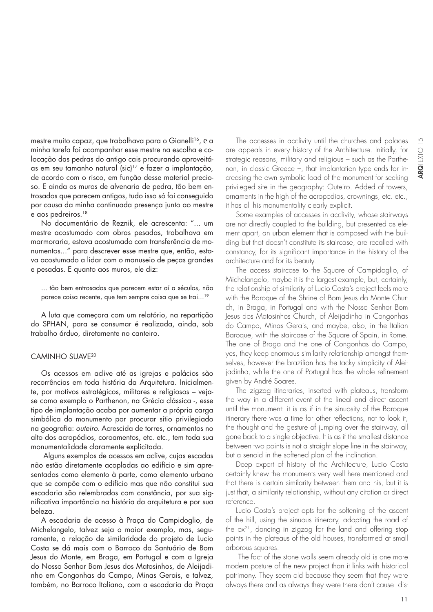mestre muito capaz, que trabalhava para o Gianelli<sup>16</sup>, e a minha tarefa foi acompanhar esse mestre na escolha e colocação das pedras do antigo cais procurando aproveitáas em seu tamanho natural (sic)17 e fazer a implantação, de acordo com o risco, em função desse material precioso. E ainda os muros de alvenaria de pedra, tão bem entrosados que parecem antigos, tudo isso só foi conseguido por causa da minha continuada presença junto ao mestre e aos pedreiros.<sup>18</sup>

No documentário de Reznik, ele acrescenta: "... um mestre acostumado com obras pesadas, trabalhava em marmoraria, estava acostumado com transferência de monumentos..." para descrever esse mestre que, então, estava acostumado a lidar com o manuseio de peças grandes e pesadas. E quanto aos muros, ele diz:

... tão bem entrosados que parecem estar aí a séculos, não parece coisa recente, que tem sempre coisa que se trai...<sup>19</sup>

A luta que começara com um relatório, na repartição do SPHAN, para se consumar é realizada, ainda, sob trabalho árduo, diretamente no canteiro.

#### CAMINHO SUAVE20

Os acessos em aclive até as igrejas e palácios são recorrências em toda história da Arquitetura. Inicialmente, por motivos estratégicos, militares e religiosos – vejase como exemplo o Parthenon, na Grécia clássica -, esse tipo de implantação acaba por aumentar a própria carga simbólica do monumento por procurar sítio privilegiado na geografia: outeiro. Acrescida de torres, ornamentos no alto dos acropódios, coroamentos, etc. etc., tem toda sua monumentalidade claramente explicitada.

 Alguns exemplos de acessos em aclive, cujas escadas não estão diretamente acopladas ao edifício e sim apresentadas como elemento à parte, como elemento urbano que se compõe com o edifício mas que não constitui sua escadaria são relembrados com constância, por sua signifi cativa importância na história da arquitetura e por sua beleza.

A escadaria de acesso à Praça do Campidoglio, de Michelangelo, talvez seja o maior exemplo, mas, seguramente, a relação de similaridade do projeto de Lucio Costa se dá mais com o Barroco da Santuário de Bom Jesus do Monte, em Braga, em Portugal e com a Igreja do Nosso Senhor Bom Jesus dos Matosinhos, de Aleijadinho em Congonhas do Campo, Minas Gerais, e talvez, também, no Barroco Italiano, com a escadaria da Praça

The accesses in acclivity until the churches and palaces are appeals in every history of the Architecture. Initially, for strategic reasons, military and religious – such as the Parthenon, in classic Greece –, that implantation type ends for increasing the own symbolic load of the monument for seeking privileged site in the geography: Outeiro. Added of towers, ornaments in the high of the acropodios, crownings, etc. etc., it has all his monumentality clearly explicit.

Some examples of accesses in acclivity, whose stairways are not directly coupled to the building, but presented as element apart, an urban element that is composed with the building but that doesn't constitute its staircase, are recalled with constancy, for its significant importance in the history of the architecture and for its beauty.

The access staircase to the Square of Campidoglio, of Michelangelo, maybe it is the largest example, but, certainly, the relationship of similarity of Lucio Costa's project feels more with the Baroque of the Shrine of Bom Jesus do Monte Church, in Braga, in Portugal and with the Nosso Senhor Bom Jesus dos Matosinhos Church, of Aleijadinho in Congonhas do Campo, Minas Gerais, and maybe, also, in the Italian Baroque, with the staircase of the Square of Spain, in Rome. The one of Braga and the one of Congonhas do Campo, yes, they keep enormous similarity relationship amongst themselves, however the brazilian has the tacky simplicity of Aleijadinho, while the one of Portugal has the whole refinement given by André Soares.

The zigzag itineraries, inserted with plateaus, transform the way in a different event of the lineal and direct ascent until the monument: it is as if in the sinuosity of the Baroque itinerary there was a time for other reflections, not to look it, the thought and the gesture of jumping over the stairway, all gone back to a single objective. It is as if the smallest distance between two points is not a straight slope line in the stairway, but a senoid in the softened plan of the inclination.

Deep expert of history of the Architecture, Lucio Costa certainly knew the monuments very well here mentioned and that there is certain similarity between them and his, but it is just that, a similarity relationship, without any citation or direct reference.

Lucio Costa's project opts for the softening of the ascent of the hill, using the sinuous itinerary, adopting the road of the ox21, dancing in zigzag for the land and offering stop points in the plateaus of the old houses, transformed at small arborous squares.

 The fact of the stone walls seem already old is one more modern posture of the new project than it links with historical patrimony. They seem old because they seem that they were always there and as always they were there don't cause dis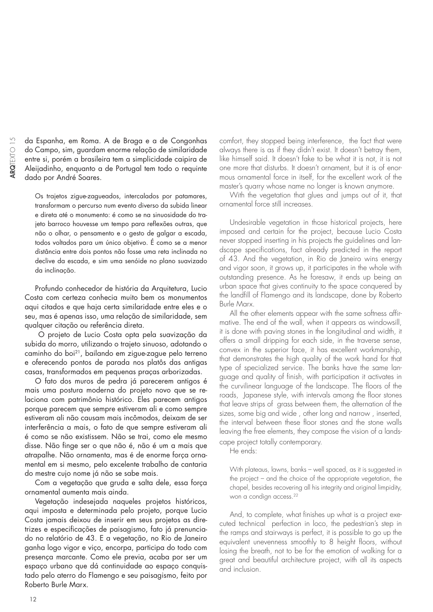da Espanha, em Roma. A de Braga e a de Congonhas do Campo, sim, guardam enorme relação de similaridade entre si, porém a brasileira tem a simplicidade caipira de Aleijadinho, enquanto a de Portugal tem todo o requinte dado por André Soares.

Os trajetos zigue-zagueados, intercalados por patamares, transformam o percurso num evento diverso da subida linear e direta até o monumento: é como se na sinuosidade do trajeto barroco houvesse um tempo para reflexões outras, que não o olhar, o pensamento e o gesto de galgar a escada, todos voltados para um único objetivo. É como se a menor distância entre dois pontos não fosse uma reta inclinada no declive da escada, e sim uma senóide no plano suavizado da inclinação.

Profundo conhecedor de história da Arquitetura, Lucio Costa com certeza conhecia muito bem os monumentos aqui citados e que haja certa similaridade entre eles e o seu, mas é apenas isso, uma relação de similaridade, sem qualquer citação ou referência direta.

 O projeto de Lucio Costa opta pela suavização da subida do morro, utilizando o trajeto sinuoso, adotando o caminho do boi21, bailando em zigue-zague pelo terreno e oferecendo pontos de parada nos platôs das antigas casas, transformados em pequenas praças arborizadas.

O fato dos muros de pedra já parecerem antigos é mais uma postura moderna do projeto novo que se relaciona com patrimônio histórico. Eles parecem antigos porque parecem que sempre estiveram ali e como sempre estiveram ali não causam mais incômodos, deixam de ser interferência a mais, o fato de que sempre estiveram ali é como se não existissem. Não se trai, como ele mesmo disse. Não finge ser o que não é, não é um a mais que atrapalhe. Não ornamenta, mas é de enorme força ornamental em si mesmo, pelo excelente trabalho de cantaria do mestre cujo nome já não se sabe mais.

Com a vegetação que gruda e salta dele, essa força ornamental aumenta mais ainda.

Vegetação indesejada naqueles projetos históricos, aqui imposta e determinada pelo projeto, porque Lucio Costa jamais deixou de inserir em seus projetos as diretrizes e especificações de paisagismo, fato já prenunciado no relatório de 43. E a vegetação, no Rio de Janeiro ganha logo vigor e viço, encorpa, participa do todo com presença marcante. Como ele previa, acaba por ser um espaço urbano que dá continuidade ao espaço conquistado pelo aterro do Flamengo e seu paisagismo, feito por Roberto Burle Marx.

comfort, they stopped being interference, the fact that were always there is as if they didn't exist. It doesn't betray them, like himself said. It doesn't fake to be what it is not, it is not one more that disturbs. It doesn't ornament, but it is of enormous ornamental force in itself, for the excellent work of the master's quarry whose name no longer is known anymore.

With the vegetation that glues and jumps out of it, that ornamental force still increases.

Undesirable vegetation in those historical projects, here imposed and certain for the project, because Lucio Costa never stopped inserting in his projects the guidelines and landscape specifications, fact already predicted in the report of 43. And the vegetation, in Rio de Janeiro wins energy and vigor soon, it grows up, it participates in the whole with outstanding presence. As he foresaw, it ends up being an urban space that gives continuity to the space conquered by the landfill of Flamengo and its landscape, done by Roberto Burle Marx.

All the other elements appear with the same softness affirmative. The end of the wall, when it appears as windowsill, it is done with paving stones in the longitudinal and width, it offers a small dripping for each side, in the traverse sense, convex in the superior face, it has excellent workmanship, that demonstrates the high quality of the work hand for that type of specialized service. The banks have the same language and quality of finish, with participation it activates in the curvilinear language of the landscape. The floors of the roads, Japanese style, with intervals among the floor stones that leave strips of grass between them, the alternation of the sizes, some big and wide , other long and narrow , inserted, the interval between these floor stones and the stone walls leaving the free elements, they compose the vision of a landscape project totally contemporary.

He ends:

With plateaus, lawns, banks – well spaced, as it is suggested in the project – and the choice of the appropriate vegetation, the chapel, besides recovering all his integrity and original limpidity, won a condign access.<sup>22</sup>

And, to complete, what finishes up what is a project executed technical perfection in loco, the pedestrian's step in the ramps and stairways is perfect, it is possible to go up the equivalent unevenness smoothly to 8 height floors, without losing the breath, not to be for the emotion of walking for a great and beautiful architecture project, with all its aspects and inclusion.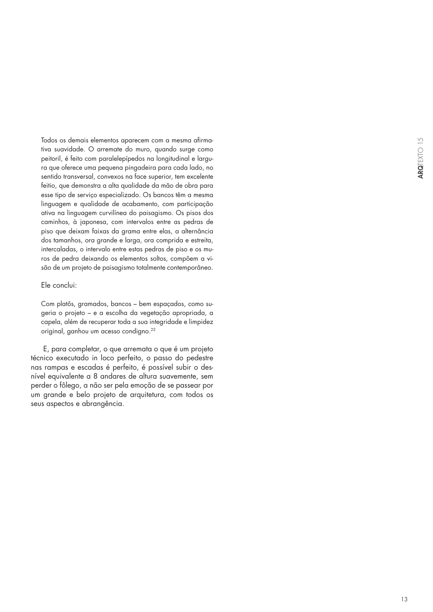Todos os demais elementos aparecem com a mesma afirmativa suavidade. O arremate do muro, quando surge como peitoril, é feito com paralelepípedos na longitudinal e largura que oferece uma pequena pingadeira para cada lado, no sentido transversal, convexos na face superior, tem excelente feitio, que demonstra a alta qualidade da mão de obra para esse tipo de serviço especializado. Os bancos têm a mesma linguagem e qualidade de acabamento, com participação ativa na linguagem curvilínea do paisagismo. Os pisos dos caminhos, à japonesa, com intervalos entre as pedras de piso que deixam faixas da grama entre elas, a alternância dos tamanhos, ora grande e larga, ora comprida e estreita, intercaladas, o intervalo entre estas pedras de piso e os muros de pedra deixando os elementos soltos, compõem a visão de um projeto de paisagismo totalmente contemporâneo.

#### Ele conclui:

Com platôs, gramados, bancos – bem espaçados, como sugeria o projeto – e a escolha da vegetação apropriada, a capela, além de recuperar toda a sua integridade e limpidez original, ganhou um acesso condigno.22

 E, para completar, o que arremata o que é um projeto técnico executado in loco perfeito, o passo do pedestre nas rampas e escadas é perfeito, é possível subir o desnível equivalente a 8 andares de altura suavemente, sem perder o fôlego, a não ser pela emoção de se passear por um grande e belo projeto de arquitetura, com todos os seus aspectos e abrangência.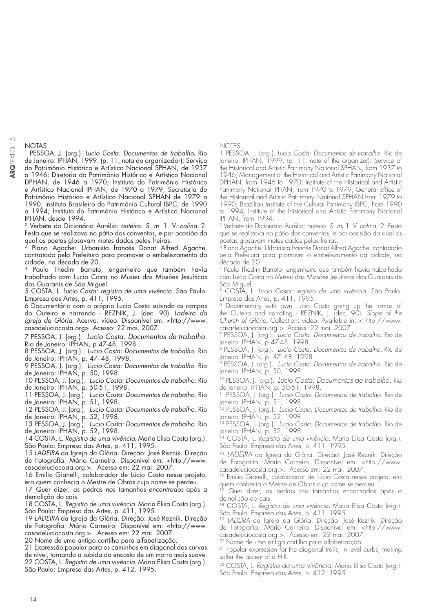NOTAS

1 PESSOA, J. (org.). Lucio Costa: Documentos de trabalho**.** Rio de Janeiro: IPHAN, 1999. (p. 11, nota do organizador): Serviço do Patrimônio Histórico e Artístico Nacional SPHAN, de 1937 a 1946; Diretoria do Patrimônio Histórico e Artístico Nacional DPHAN, de 1946 a 1970; Instituto do Patrimônio Histórico e Artístico Nacional IPHAN, de 1970 a 1979; Secretaria do Patrimônio Histórico e Artístico Nacional SPHAN de 1979 a 1990; Instituto Brasileiro do Patrimônio Cultural IBPC, de 1990 a 1994; Instituto do Patrimônio Histórico e Artístico Nacional IPHAN, desde 1994.

2 Verbete do Dicionário Aurélio: outeiro. S. m. 1. V. colina. 2. Festa que se realizava no pátio dos conventos, e por ocasião da qual os poetas glosavam motes dados pelas freiras.<br><sup>3</sup> Plano - Agrebas 1111

Plano Agache: Urbanista francês Donat Alfred Agache, contratado pela Prefeitura para promover o embelezamento da cidade, na década de 20.

Paulo Thedim Barreto, engenheiro que também havia trabalhado com Lucio Costa no Museu das Missões Jesuíticas dos Guaranis de São Miguel.

5 COSTA, L. Lucio Costa: registro de uma vivência. São Paulo: Empresa das Artes, p. 411, 1995.

6 Documentário com o próprio Lucio Costa subindo as rampas do Outeiro e narrando - REZNIK, J. (dec. 90). Ladeira da Igreja da Glória. Acervo: vídeo. Disponível em: <http://www. casadeluciocosta.org>. Acesso: 22 mai. 2007.

7 PESSOA, J. (org.). Lucio Costa: Documentos de trabalho. Rio de Janeiro: IPHAN, p 47-48, 1998.

8 PESSOA, J. (org.). Lucio Costa: Documentos de trabalho. Rio de Janeiro: IPHAN, p. 47- 48, 1998.

9 PESSOA, J. (org.). Lucio Costa: Documentos de trabalho. Rio de Janeiro: IPHAN, p. 50, 1998.

10 PESSOA, J. (org.). Lucio Costa: Documentos de trabalho. Rio de Janeiro: IPHAN, p. 50-51, 1998.

11 PESSOA, J. (org.). Lucio Costa: Documentos de trabalho. Rio de Janeiro: IPHAN, p. 51, 1998.

12 PESSOA, J. (org.). Lucio Costa: Documentos de trabalho. Rio de Janeiro: IPHAN, p. 52, 1998.

13 PESSOA, J. (org.). Lucio Costa: Documentos de trabalho. Rio de Janeiro: IPHAN, p. 52, 1998.

14 COSTA, L. Registro de uma vivência. Maria Elisa Costa (org.). São Paulo: Empresa das Artes, p. 411, 1995.

15 LADEIRA da Igreja da Glória. Direção: José Reznik. Direção de Fotografia: Mário Carneiro. Disponível em: <http://www. casadeluciocosta.org.>. Acesso em: 22 mai. 2007.

16 Emilio Gianelli, colaborador de Lúcio Costa nesse projeto, era quem conhecia o Mestre de Obras cujo nome se perdeu.

17 Quer dizer, as pedras nos tamanhos encontrados após a demolição do cais.

18 COSTA, L. Registro de uma vivência. Maria Elisa Costa (org.). São Paulo: Empresa das Artes, p. 411, 1995.

19 LADEIRA da Igreja da Glória. Direção: José Reznik. Direção de Fotografia: Mário Carneiro. Disponível em: <http://www. casadeluciocosta.org.>. Acesso em: 22 mai. 2007.

20 Nome de uma antiga cartilha para alfabetização.

21 Expressão popular para os caminhos em diagonal das curvas de nível, tornando a subida da encosta de um morro mais suave. 22 COSTA, L. Registro de uma vivência. Maria Elisa Costa (org.). São Paulo: Empresa das Artes, p. 412, 1995.

NOTES

1 PESSOA, J. (org.). Lucio Costa: Documentos de trabalho. Rio de Janeiro: IPHAN, 1999. (p. 11, note of the organizer): Service of the Historical and Artistic Patrimony National SPHAN, from 1937 to 1946; Management of the Historical and Artistic Patrimony National DPHAN, from 1946 to 1970; Institute of the Historical and Artistic Patrimony National IPHAN, from 1970 to 1979; General office of the Historical and Artistic Patrimony National SPHAN from 1979 to 1990; Brazilian institute of the Cultural Patrimony IBPC, from 1990 to 1994; Institute of the Historical and Artistic Patrimony National IPHAN, from 1994.

2 Verbete do Dicionário Aurélio: outeiro. S. m*.* 1. V. colina. 2. Festa que se realizava no pátio dos conventos, e por ocasião da qual os poetas glosavam motes dados pelas freiras.

3 Plano Agache: Urbanista francês Donat Alfred Agache, contratado pela Prefeitura para promover o embelezamento da cidade, na década de 20.

4 Paulo Thedim Barreto, engenheiro que também havia trabalhado com Lucio Costa no Museu das Missões Jesuíticas dos Guaranis de São Miguel.

5 COSTA, L. Lucio Costa: registro de uma vivência. São Paulo: Empresa das Artes, p. 411, 1995.

6 Documentary with own Lucio Costa going up the ramps of the Outeiro and narrating - REZNIK, J. (dec. 90). Slope of the Church of Glória. Collection: video. Available in: < http://www. casadeluciocosta.org >. Access: 22 mai. 2007.

7 PESSOA, J. (org.). Lucio Costa: Documentos de trabalho. Rio de Janeiro: IPHAN, p 47-48, 1998.

<sup>8</sup> PESSOA, J. (org.). Lucio Costa: Documentos de trabalho. Rio de Janeiro: IPHAN, p. 47- 48, 1998.

9 PESSOA, J. (org.). Lucio Costa: Documentos de trabalho. Rio de Janeiro: IPHAN, p. 50, 1998.

10 PESSOA, J. (org.). Lucio Costa: Documentos de trabalho. Rio de Janeiro: IPHAN, p. 50-51, 1998.

11 PESSOA, J. (org.). Lucio Costa: Documentos de trabalho. Rio de Janeiro: IPHAN, p. 51, 1998.

12 PESSOA, J. (org.). Lucio Costa: Documentos de trabalho. Rio de Janeiro: IPHAN, p. 52, 1998.

13 PESSOA, J. (org.). Lucio Costa: Documentos de trabalho. Rio de Janeiro: IPHAN, p. 52, 1998.

14 COSTA, L. Registro de uma vivência. Maria Elisa Costa (org.). São Paulo: Empresa das Artes, p. 411, 1995.

<sup>15</sup> LADEIRA da Igreja da Glória. Direção: José Reznik. Direção de Fotografia: Mário Carneiro. Disponível em: <http://www. casadeluciocosta.org.>. Acesso em: 22 mai. 2007.

<sup>16</sup> Emilio Gianelli, colaborador de Lúcio Costa nesse projeto, era quem conhecia o Mestre de Obras cujo nome se perdeu.

Quer dizer, as pedras nos tamanhos encontrados após a demolição do cais.

18 COSTA, L. Registro de uma vivência. Maria Elisa Costa (org.). São Paulo: Empresa das Artes, p. 411, 1995.

<sup>19</sup> LADEIRA da Igreja da Glória. Direção: José Reznik. Direção de Fotografia: Mário Carneiro. Disponível em: <http://www. casadeluciocosta.org.>. Acesso em: 22 mai. 2007.

20 Nome de uma antiga cartilha para alfabetização.

<sup>21</sup> Popular expression for the diagonal trails, in level curbs, making softer the ascent of a Hill.

22 COSTA, L. Registro de uma vivência. Maria Elisa Costa (org.). São Paulo: Empresa das Artes, p. 412, 1995.